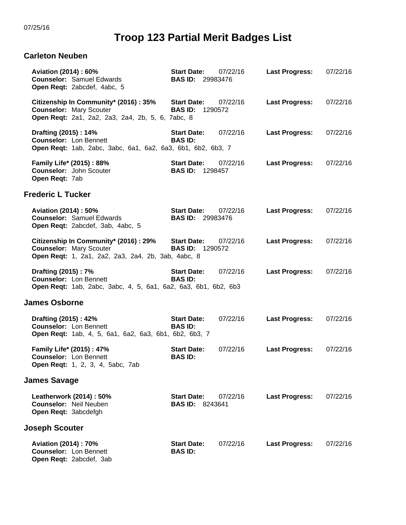## **Troop 123 Partial Merit Badges List**

## **Carleton Neuben**

| Aviation (2014) : 60%<br><b>Counselor: Samuel Edwards</b><br>Open Reqt: 2abcdef, 4abc, 5                                       | <b>Start Date:</b><br>07/22/16<br><b>BAS ID: 29983476</b> | <b>Last Progress:</b> | 07/22/16 |
|--------------------------------------------------------------------------------------------------------------------------------|-----------------------------------------------------------|-----------------------|----------|
| Citizenship In Community* (2016): 35%<br><b>Counselor: Mary Scouter</b><br>Open Reqt: 2a1, 2a2, 2a3, 2a4, 2b, 5, 6, 7abc, 8    | <b>Start Date:</b><br>07/22/16<br><b>BAS ID: 1290572</b>  | <b>Last Progress:</b> | 07/22/16 |
| Drafting (2015): 14%<br><b>Counselor: Lon Bennett</b><br>Open Reqt: 1ab, 2abc, 3abc, 6a1, 6a2, 6a3, 6b1, 6b2, 6b3, 7           | <b>Start Date:</b><br>07/22/16<br><b>BAS ID:</b>          | <b>Last Progress:</b> | 07/22/16 |
| Family Life* (2015): 88%<br><b>Counselor:</b> John Scouter<br>Open Reqt: 7ab                                                   | <b>Start Date:</b><br>07/22/16<br><b>BAS ID: 1298457</b>  | <b>Last Progress:</b> | 07/22/16 |
| <b>Frederic L Tucker</b>                                                                                                       |                                                           |                       |          |
| Aviation (2014) : 50%<br><b>Counselor: Samuel Edwards</b><br>Open Reqt: 2abcdef, 3ab, 4abc, 5                                  | <b>Start Date:</b><br>07/22/16<br><b>BAS ID: 29983476</b> | <b>Last Progress:</b> | 07/22/16 |
| Citizenship In Community* (2016) : 29%<br><b>Counselor: Mary Scouter</b><br>Open Reqt: 1, 2a1, 2a2, 2a3, 2a4, 2b, 3ab, 4abc, 8 | <b>Start Date:</b><br>07/22/16<br><b>BAS ID: 1290572</b>  | <b>Last Progress:</b> | 07/22/16 |
| Drafting (2015): 7%<br><b>Counselor: Lon Bennett</b><br>Open Reqt: 1ab, 2abc, 3abc, 4, 5, 6a1, 6a2, 6a3, 6b1, 6b2, 6b3         | 07/22/16<br><b>Start Date:</b><br><b>BAS ID:</b>          | <b>Last Progress:</b> | 07/22/16 |
| <b>James Osborne</b>                                                                                                           |                                                           |                       |          |
| Drafting (2015): 42%<br><b>Counselor: Lon Bennett</b><br><b>Open Reqt:</b> 1ab, 4, 5, 6a1, 6a2, 6a3, 6b1, 6b2, 6b3, 7          | 07/22/16<br><b>Start Date:</b><br><b>BAS ID:</b>          | <b>Last Progress:</b> | 07/22/16 |
| Family Life* (2015): 47%<br><b>Counselor: Lon Bennett</b><br>Open Reqt: 1, 2, 3, 4, 5abc, 7ab                                  | <b>Start Date:</b><br>07/22/16<br><b>BAS ID:</b>          | <b>Last Progress:</b> | 07/22/16 |
| <b>James Savage</b>                                                                                                            |                                                           |                       |          |
| Leatherwork (2014) : 50%<br><b>Counselor: Neil Neuben</b><br>Open Reqt: 3abcdefgh                                              | <b>Start Date:</b><br>07/22/16<br><b>BAS ID: 8243641</b>  | <b>Last Progress:</b> | 07/22/16 |
| Joseph Scouter                                                                                                                 |                                                           |                       |          |
| <b>Aviation (2014): 70%</b><br><b>Counselor: Lon Bennett</b><br>Open Reqt: 2abcdef, 3ab                                        | 07/22/16<br><b>Start Date:</b><br><b>BAS ID:</b>          | <b>Last Progress:</b> | 07/22/16 |